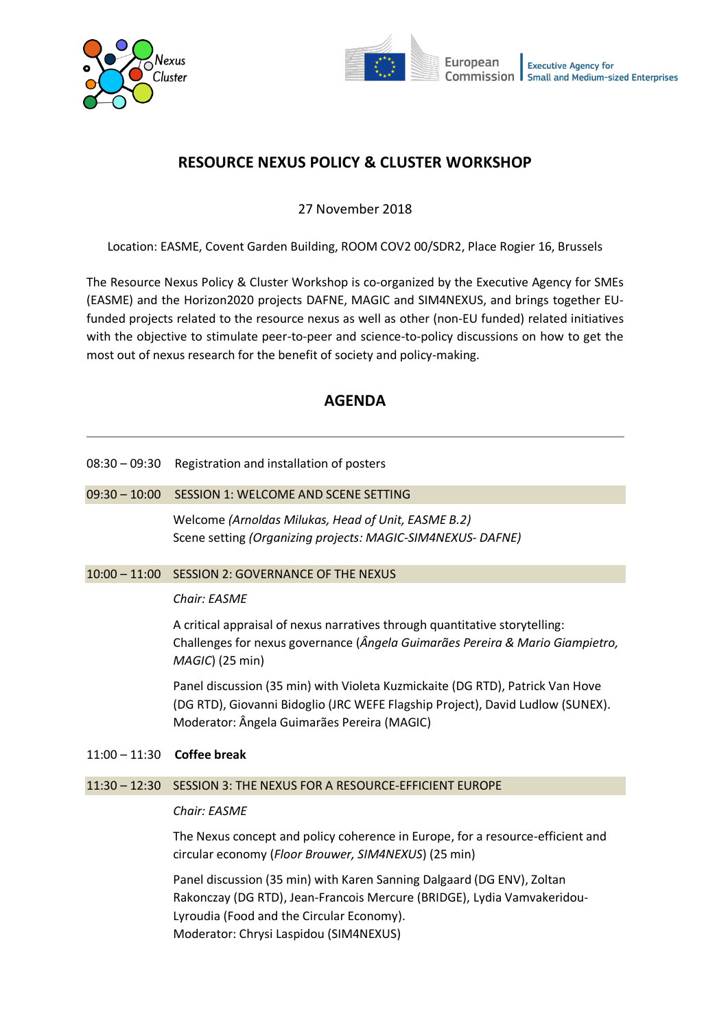



# **RESOURCE NEXUS POLICY & CLUSTER WORKSHOP**

27 November 2018

Location: EASME, Covent Garden Building, ROOM COV2 00/SDR2, Place Rogier 16, Brussels

The Resource Nexus Policy & Cluster Workshop is co-organized by the Executive Agency for SMEs (EASME) and the Horizon2020 projects DAFNE, MAGIC and SIM4NEXUS, and brings together EUfunded projects related to the resource nexus as well as other (non-EU funded) related initiatives with the objective to stimulate peer-to-peer and science-to-policy discussions on how to get the most out of nexus research for the benefit of society and policy-making.

# **AGENDA**

08:30 – 09:30 Registration and installation of posters

#### 09:30 – 10:00 SESSION 1: WELCOME AND SCENE SETTING

Welcome *(Arnoldas Milukas, Head of Unit, EASME B.2)* Scene setting *(Organizing projects: MAGIC-SIM4NEXUS- DAFNE)* 

#### 10:00 – 11:00 SESSION 2: GOVERNANCE OF THE NEXUS

#### *Chair: EASME*

A critical appraisal of nexus narratives through quantitative storytelling: Challenges for nexus governance (*Ângela Guimarães Pereira & Mario Giampietro, MAGIC*) (25 min)

Panel discussion (35 min) with Violeta Kuzmickaite (DG RTD), Patrick Van Hove (DG RTD), Giovanni Bidoglio (JRC WEFE Flagship Project), David Ludlow (SUNEX). Moderator: Ângela Guimarães Pereira (MAGIC)

## 11:00 – 11:30 **Coffee break**

# 11:30 – 12:30 SESSION 3: THE NEXUS FOR A RESOURCE-EFFICIENT EUROPE

# *Chair: EASME*

The Nexus concept and policy coherence in Europe, for a resource-efficient and circular economy (*Floor Brouwer, SIM4NEXUS*) (25 min)

Panel discussion (35 min) with Karen Sanning Dalgaard (DG ENV), Zoltan Rakonczay (DG RTD), Jean-Francois Mercure (BRIDGE), Lydia Vamvakeridou-Lyroudia (Food and the Circular Economy). Moderator: Chrysi Laspidou (SIM4NEXUS)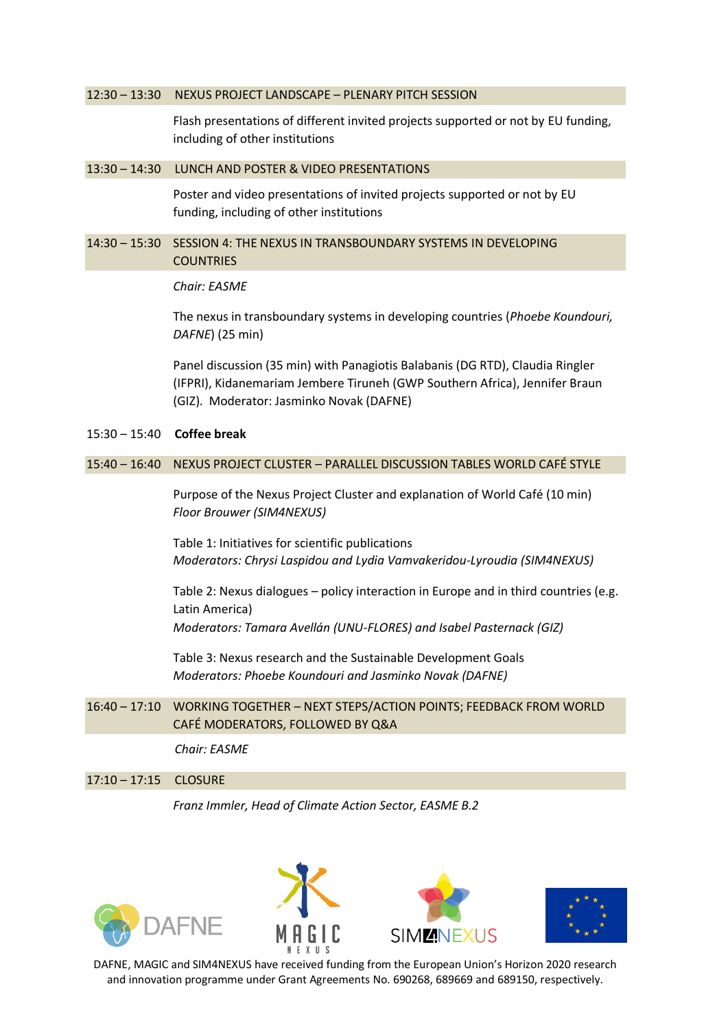#### 12:30 – 13:30 NEXUS PROJECT LANDSCAPE – PLENARY PITCH SESSION

Flash presentations of different invited projects supported or not by EU funding, including of other institutions

#### 13:30 – 14:30 LUNCH AND POSTER & VIDEO PRESENTATIONS

Poster and video presentations of invited projects supported or not by EU funding, including of other institutions

## 14:30 – 15:30 SESSION 4: THE NEXUS IN TRANSBOUNDARY SYSTEMS IN DEVELOPING **COUNTRIES**

#### *Chair: EASME*

The nexus in transboundary systems in developing countries (*Phoebe Koundouri, DAFNE*) (25 min)

Panel discussion (35 min) with Panagiotis Balabanis (DG RTD), Claudia Ringler (IFPRI), Kidanemariam Jembere Tiruneh (GWP Southern Africa), Jennifer Braun (GIZ). Moderator: Jasminko Novak (DAFNE)

### 15:30 – 15:40 **Coffee break**

# 15:40 – 16:40 NEXUS PROJECT CLUSTER – PARALLEL DISCUSSION TABLES WORLD CAFÉ STYLE

Purpose of the Nexus Project Cluster and explanation of World Café (10 min) *Floor Brouwer (SIM4NEXUS)*

Table 1: Initiatives for scientific publications *Moderators: Chrysi Laspidou and Lydia Vamvakeridou-Lyroudia (SIM4NEXUS)*

Table 2: Nexus dialogues – policy interaction in Europe and in third countries (e.g. Latin America) *Moderators: Tamara Avellán (UNU-FLORES) and Isabel Pasternack (GIZ)*

Table 3: Nexus research and the Sustainable Development Goals *Moderators: Phoebe Koundouri and Jasminko Novak (DAFNE)*

# 16:40 – 17:10 WORKING TOGETHER – NEXT STEPS/ACTION POINTS; FEEDBACK FROM WORLD CAFÉ MODERATORS, FOLLOWED BY Q&A

*Chair: EASME*

#### 17:10 – 17:15 CLOSURE

*Franz Immler, Head of Climate Action Sector, EASME B.2*



DAFNE, MAGIC and SIM4NEXUS have received funding from the European Union's Horizon 2020 research and innovation programme under Grant Agreements No. 690268, 689669 and 689150, respectively.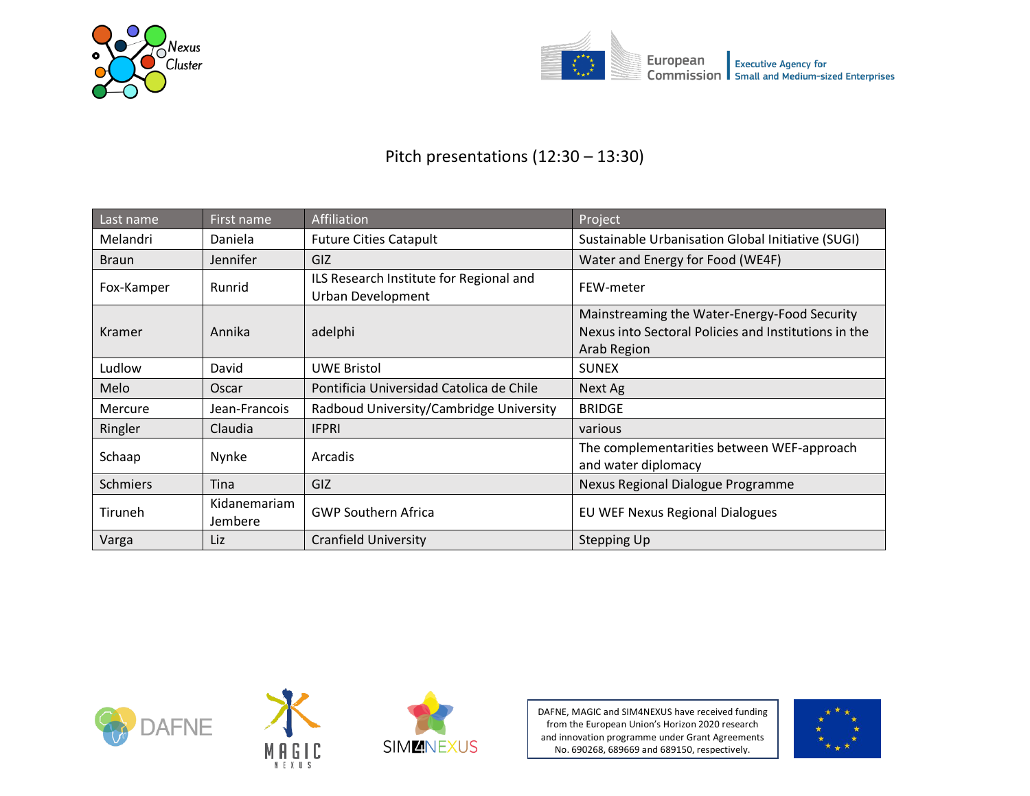



# Pitch presentations (12:30 – 13:30)

| Last name      | First name              | Affiliation                                                         | Project                                                                                                                    |
|----------------|-------------------------|---------------------------------------------------------------------|----------------------------------------------------------------------------------------------------------------------------|
| Melandri       | Daniela                 | <b>Future Cities Catapult</b>                                       | Sustainable Urbanisation Global Initiative (SUGI)                                                                          |
| <b>Braun</b>   | Jennifer                | GIZ                                                                 | Water and Energy for Food (WE4F)                                                                                           |
| Fox-Kamper     | Runrid                  | ILS Research Institute for Regional and<br><b>Urban Development</b> | FEW-meter                                                                                                                  |
| Kramer         | Annika                  | adelphi                                                             | Mainstreaming the Water-Energy-Food Security<br>Nexus into Sectoral Policies and Institutions in the<br><b>Arab Region</b> |
| Ludlow         | David                   | <b>UWE Bristol</b>                                                  | <b>SUNEX</b>                                                                                                               |
| Melo           | Oscar                   | Pontificia Universidad Catolica de Chile                            | Next Ag                                                                                                                    |
| <b>Mercure</b> | Jean-Francois           | Radboud University/Cambridge University                             | <b>BRIDGE</b>                                                                                                              |
| Ringler        | Claudia                 | <b>IFPRI</b>                                                        | various                                                                                                                    |
| Schaap         | Nynke                   | Arcadis                                                             | The complementarities between WEF-approach<br>and water diplomacy                                                          |
| Schmiers       | Tina                    | GIZ                                                                 | Nexus Regional Dialogue Programme                                                                                          |
| Tiruneh        | Kidanemariam<br>Jembere | <b>GWP Southern Africa</b>                                          | EU WEF Nexus Regional Dialogues                                                                                            |
| Varga          | Liz                     | <b>Cranfield University</b>                                         | <b>Stepping Up</b>                                                                                                         |







DAFNE, MAGIC and SIM4NEXUS have received funding from the European Union's Horizon 2020 research and innovation programme under Grant Agreements No. 690268, 689669 and 689150, respectively.